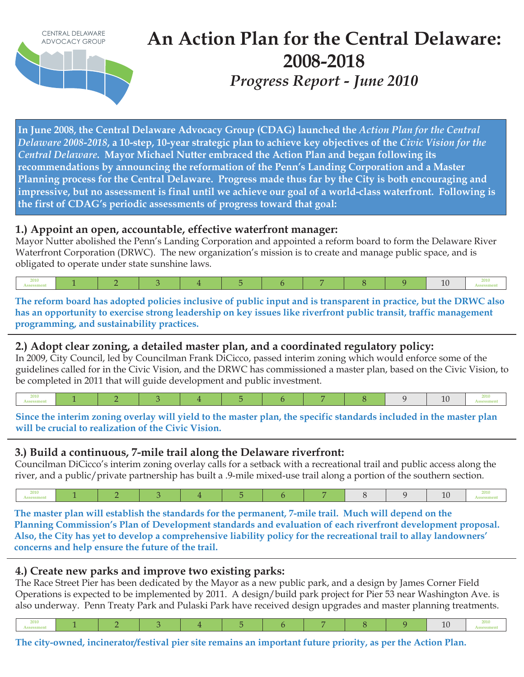

**In June 2008, the Central Delaware Advocacy Group (CDAG) launched the** *Action Plan for the Central Delaware 2008-2018***, a 10-step, 10-year strategic plan to achieve key objectives of the** *Civic Vision for the Central Delaware***. Mayor Michael Nutter embraced the Action Plan and began following its**  recommendations by announcing the reformation of the Penn's Landing Corporation and a Master **Planning process for the Central Delaware. Progress made thus far by the City is both encouraging and impressive, but no assessment is final until we achieve our goal of a world-class waterfront. Following is**  the first of CDAG's periodic assessments of progress toward that goal:

### **1.) Appoint an open, accountable, effective waterfront manager:**

Mayor Nutter abolished the Penn's Landing Corporation and appointed a reform board to form the Delaware River Waterfront Corporation (DRWC). The new organization's mission is to create and manage public space, and is obligated to operate under state sunshine laws.



**The reform board has adopted policies inclusive of public input and is transparent in practice, but the DRWC also has an opportunity to exercise strong leadership on key issues like riverfront public transit, traffic management programming, and sustainability practices.** 

### **2.) Adopt clear zoning, a detailed master plan, and a coordinated regulatory policy:**

In 2009, City Council, led by Councilman Frank DiCicco, passed interim zoning which would enforce some of the guidelines called for in the Civic Vision, and the DRWC has commissioned a master plan, based on the Civic Vision, to be completed in 2011 that will guide development and public investment.

|--|--|--|--|--|--|--|--|--|--|--|--|

#### **Since the interim zoning overlay will yield to the master plan, the specific standards included in the master plan will be crucial to realization of the Civic Vision.**

# **3.) Build a continuous, 7-mile trail along the Delaware riverfront:**

Councilman DiCicco's interim zoning overlay calls for a setback with a recreational trail and public access along the river, and a public/private partnership has built a .9-mile mixed-use trail along a portion of the southern section.

|--|--|--|--|--|--|--|--|--|--|--|--|--|

**The master plan will establish the standards for the permanent, 7-mile trail. Much will depend on the**  Planning Commission's Plan of Development standards and evaluation of each riverfront development proposal. Also, the City has yet to develop a comprehensive liability policy for the recreational trail to allay landowners' **concerns and help ensure the future of the trail.** 

# **4.) Create new parks and improve two existing parks:**

The Race Street Pier has been dedicated by the Mayor as a new public park, and a design by James Corner Field Operations is expected to be implemented by 2011. A design/build park project for Pier 53 near Washington Ave. is also underway. Penn Treaty Park and Pulaski Park have received design upgrades and master planning treatments.

|  | 2010<br>10<br>20 I.U |
|--|----------------------|
|--|----------------------|

**The city-owned, incinerator/festival pier site remains an important future priority, as per the Action Plan.**